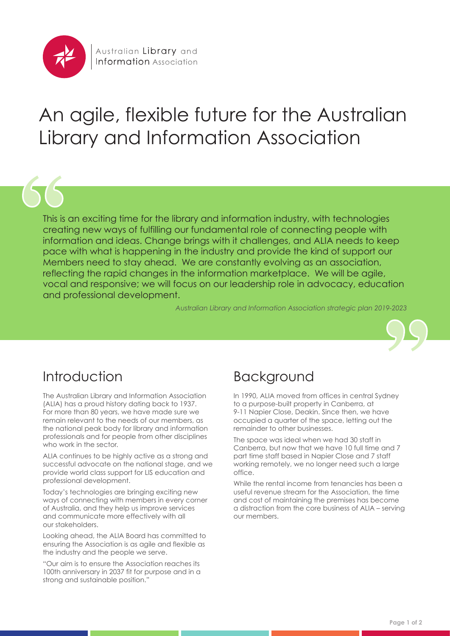

# An agile, flexible future for the Australian Library and Information Association

This is an exciting time for the library and information industry, with technologies creating new ways of fulfilling our fundamental role of connecting people with information and ideas. Change brings with it challenges, and ALIA needs to keep pace with what is happening in the industry and provide the kind of support our Members need to stay ahead. We are constantly evolving as an association, reflecting the rapid changes in the information marketplace. We will be agile, vocal and responsive; we will focus on our leadership role in advocacy, education and professional development.

*Australian Library and Information Association strategic plan 2019-2023*



# Introduction

The Australian Library and Information Association (ALIA) has a proud history dating back to 1937. For more than 80 years, we have made sure we remain relevant to the needs of our members, as the national peak body for library and information professionals and for people from other disciplines who work in the sector.

ALIA continues to be highly active as a strong and successful advocate on the national stage, and we provide world class support for LIS education and professional development.

Today's technologies are bringing exciting new ways of connecting with members in every corner of Australia, and they help us improve services and communicate more effectively with all our stakeholders.

Looking ahead, the ALIA Board has committed to ensuring the Association is as agile and flexible as the industry and the people we serve.

"Our aim is to ensure the Association reaches its 100th anniversary in 2037 fit for purpose and in a strong and sustainable position."

#### Background

In 1990, ALIA moved from offices in central Sydney to a purpose-built property in Canberra, at 9-11 Napier Close, Deakin. Since then, we have occupied a quarter of the space, letting out the remainder to other businesses.

The space was ideal when we had 30 staff in Canberra, but now that we have 10 full time and 7 part time staff based in Napier Close and 7 staff working remotely, we no longer need such a large office.

While the rental income from tenancies has been a useful revenue stream for the Association, the time and cost of maintaining the premises has become a distraction from the core business of ALIA – serving our members.